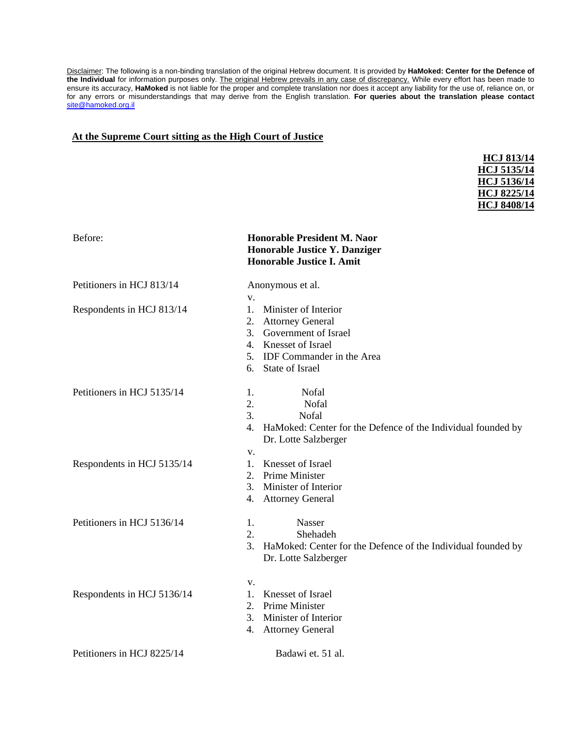Disclaimer: The following is a non-binding translation of the original Hebrew document. It is provided by **HaMoked: Center for the Defence of the Individual** for information purposes only. The original Hebrew prevails in any case of discrepancy. While every effort has been made to ensure its accuracy, **HaMoked** is not liable for the proper and complete translation nor does it accept any liability for the use of, reliance on, or for any errors or misunderstandings that may derive from the English translation. **For queries about the translation please contact**  [site@hamoked.org.il](mailto:site@hamoked.org.il)

#### **At the Supreme Court sitting as the High Court of Justice**

| <b>HCJ 813/14</b>  |
|--------------------|
| <b>HCJ 5135/14</b> |
| <b>HCJ 5136/14</b> |
| <b>HCJ 8225/14</b> |
| <b>HCJ 8408/14</b> |
|                    |

| Before:                    | <b>Honorable President M. Naor</b><br>Honorable Justice Y. Danziger<br><b>Honorable Justice I. Amit</b>                                                          |
|----------------------------|------------------------------------------------------------------------------------------------------------------------------------------------------------------|
| Petitioners in HCJ 813/14  | Anonymous et al.                                                                                                                                                 |
| Respondents in HCJ 813/14  | V.<br>Minister of Interior<br>1.<br>2. Attorney General<br>3. Government of Israel<br>4. Knesset of Israel<br>5. IDF Commander in the Area<br>6. State of Israel |
| Petitioners in HCJ 5135/14 | Nofal<br>1.<br>2.<br>Nofal<br>3.<br>Nofal<br>4.<br>HaMoked: Center for the Defence of the Individual founded by<br>Dr. Lotte Salzberger                          |
| Respondents in HCJ 5135/14 | V.<br>Knesset of Israel<br>$1_{\cdot}$<br>Prime Minister<br>2.<br>3.<br>Minister of Interior<br><b>Attorney General</b><br>4.                                    |
| Petitioners in HCJ 5136/14 | Nasser<br>1.<br>2.<br>Shehadeh<br>3.<br>HaMoked: Center for the Defence of the Individual founded by<br>Dr. Lotte Salzberger                                     |
| Respondents in HCJ 5136/14 | V.<br>Knesset of Israel<br>1.<br>Prime Minister<br>2.<br>Minister of Interior<br>3.<br>4.<br><b>Attorney General</b>                                             |
| Petitioners in HCJ 8225/14 | Badawi et. 51 al.                                                                                                                                                |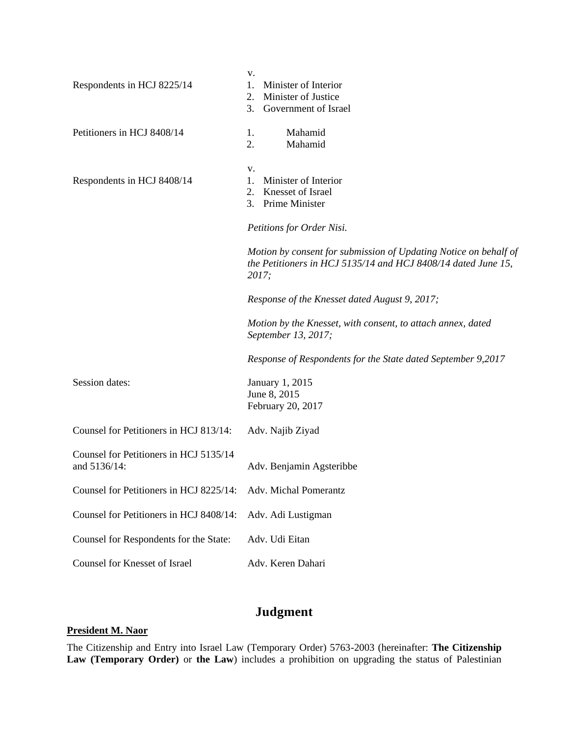| Respondents in HCJ 8225/14                             | v.<br>1.<br>Minister of Interior<br>Minister of Justice<br>2.<br>3.<br>Government of Israel                                                |
|--------------------------------------------------------|--------------------------------------------------------------------------------------------------------------------------------------------|
| Petitioners in HCJ 8408/14                             | Mahamid<br>1.<br>2.<br>Mahamid                                                                                                             |
| Respondents in HCJ 8408/14                             | v.<br>Minister of Interior<br>1.<br>Knesset of Israel<br>2.<br>Prime Minister<br>3.<br>Petitions for Order Nisi.                           |
|                                                        | Motion by consent for submission of Updating Notice on behalf of<br>the Petitioners in HCJ 5135/14 and HCJ 8408/14 dated June 15,<br>2017; |
|                                                        | Response of the Knesset dated August 9, 2017;                                                                                              |
|                                                        | Motion by the Knesset, with consent, to attach annex, dated<br>September 13, 2017;                                                         |
|                                                        | Response of Respondents for the State dated September 9,2017                                                                               |
| Session dates:                                         | January 1, 2015<br>June 8, 2015<br>February 20, 2017                                                                                       |
| Counsel for Petitioners in HCJ 813/14:                 | Adv. Najib Ziyad                                                                                                                           |
| Counsel for Petitioners in HCJ 5135/14<br>and 5136/14: | Adv. Benjamin Agsteribbe                                                                                                                   |
| Counsel for Petitioners in HCJ 8225/14:                | Adv. Michal Pomerantz                                                                                                                      |
| Counsel for Petitioners in HCJ 8408/14:                | Adv. Adi Lustigman                                                                                                                         |
| Counsel for Respondents for the State:                 | Adv. Udi Eitan                                                                                                                             |
| Counsel for Knesset of Israel                          | Adv. Keren Dahari                                                                                                                          |

# **Judgment**

# **President M. Naor**

The Citizenship and Entry into Israel Law (Temporary Order) 5763-2003 (hereinafter: **The Citizenship Law (Temporary Order)** or **the Law**) includes a prohibition on upgrading the status of Palestinian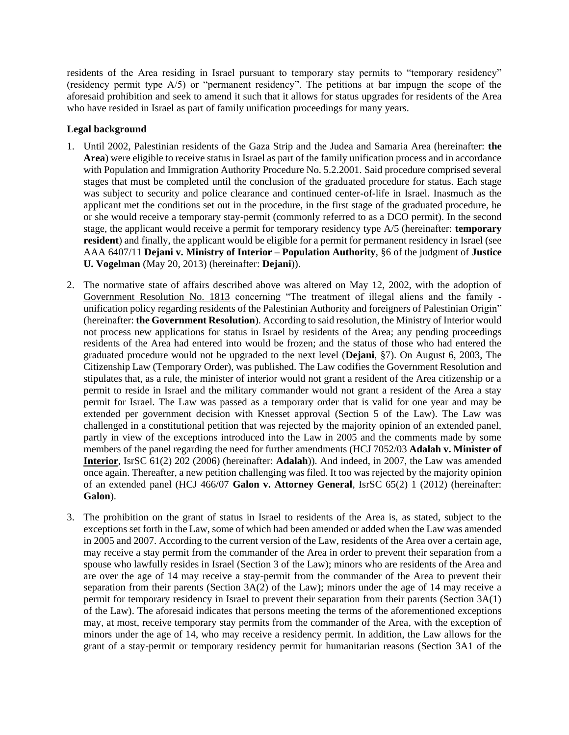residents of the Area residing in Israel pursuant to temporary stay permits to "temporary residency" (residency permit type A/5) or "permanent residency". The petitions at bar impugn the scope of the aforesaid prohibition and seek to amend it such that it allows for status upgrades for residents of the Area who have resided in Israel as part of family unification proceedings for many years.

#### **Legal background**

- 1. Until 2002, Palestinian residents of the Gaza Strip and the Judea and Samaria Area (hereinafter: **the Area**) were eligible to receive status in Israel as part of the family unification process and in accordance with Population and Immigration Authority Procedure No. 5.2.2001. Said procedure comprised several stages that must be completed until the conclusion of the graduated procedure for status. Each stage was subject to security and police clearance and continued center-of-life in Israel. Inasmuch as the applicant met the conditions set out in the procedure, in the first stage of the graduated procedure, he or she would receive a temporary stay-permit (commonly referred to as a DCO permit). In the second stage, the applicant would receive a permit for temporary residency type A/5 (hereinafter: **temporary resident**) and finally, the applicant would be eligible for a permit for permanent residency in Israel (see AAA 6407/11 **Dejani [v. Ministry of Interior –](http://www.hamoked.org/files/2014/1158540_eng.pdf) Population Authority**, §6 of the judgment of **Justice U. Vogelman** (May 20, 2013) (hereinafter: **Dejani**)).
- 2. The normative state of affairs described above was altered on May 12, 2002, with the adoption of [Government Resolution No. 1813](http://www.hamoked.org/files/2018/2690_eng.pdf) concerning "The treatment of illegal aliens and the family unification policy regarding residents of the Palestinian Authority and foreigners of Palestinian Origin" (hereinafter: **the Government Resolution**). According to said resolution, the Ministry of Interior would not process new applications for status in Israel by residents of the Area; any pending proceedings residents of the Area had entered into would be frozen; and the status of those who had entered the graduated procedure would not be upgraded to the next level (**Dejani**, §7). On August 6, 2003, The Citizenship Law (Temporary Order), was published. The Law codifies the Government Resolution and stipulates that, as a rule, the minister of interior would not grant a resident of the Area citizenship or a permit to reside in Israel and the military commander would not grant a resident of the Area a stay permit for Israel. The Law was passed as a temporary order that is valid for one year and may be extended per government decision with Knesset approval (Section 5 of the Law). The Law was challenged in a constitutional petition that was rejected by the majority opinion of an extended panel, partly in view of the exceptions introduced into the Law in 2005 and the comments made by some members of the panel regarding the need for further amendments (HCJ 7052/03 **[Adalah v. Minister of](http://www.hamoked.org/files/2011/4489_eng.pdf)  [Interior](http://www.hamoked.org/files/2011/4489_eng.pdf)**, IsrSC 61(2) 202 (2006) (hereinafter: **Adalah**)). And indeed, in 2007, the Law was amended once again. Thereafter, a new petition challenging was filed. It too was rejected by the majority opinion of an extended panel (HCJ 466/07 **Galon v. Attorney General**, IsrSC 65(2) 1 (2012) (hereinafter: **Galon**).
- 3. The prohibition on the grant of status in Israel to residents of the Area is, as stated, subject to the exceptions set forth in the Law, some of which had been amended or added when the Law was amended in 2005 and 2007. According to the current version of the Law, residents of the Area over a certain age, may receive a stay permit from the commander of the Area in order to prevent their separation from a spouse who lawfully resides in Israel (Section 3 of the Law); minors who are residents of the Area and are over the age of 14 may receive a stay-permit from the commander of the Area to prevent their separation from their parents (Section 3A(2) of the Law); minors under the age of 14 may receive a permit for temporary residency in Israel to prevent their separation from their parents (Section 3A(1) of the Law). The aforesaid indicates that persons meeting the terms of the aforementioned exceptions may, at most, receive temporary stay permits from the commander of the Area, with the exception of minors under the age of 14, who may receive a residency permit. In addition, the Law allows for the grant of a stay-permit or temporary residency permit for humanitarian reasons (Section 3A1 of the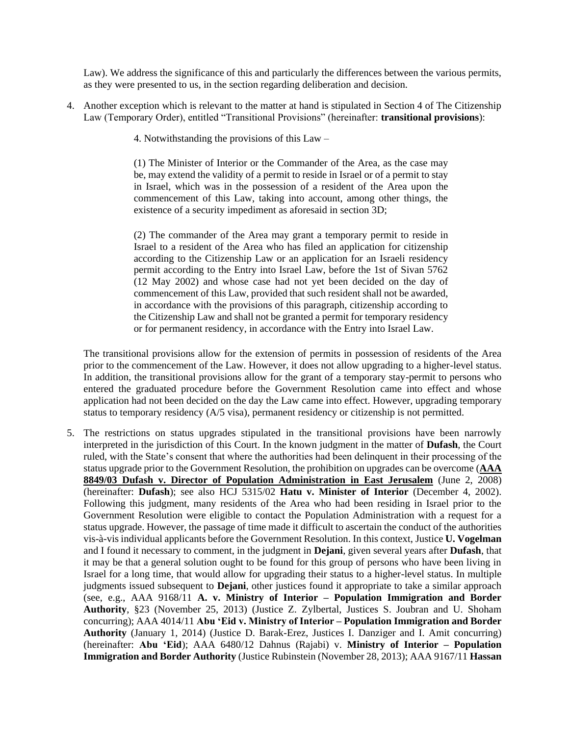Law). We address the significance of this and particularly the differences between the various permits, as they were presented to us, in the section regarding deliberation and decision.

- 4. Another exception which is relevant to the matter at hand is stipulated in Section 4 of The Citizenship Law (Temporary Order), entitled "Transitional Provisions" (hereinafter: **transitional provisions**):
	- 4. Notwithstanding the provisions of this Law –

(1) The Minister of Interior or the Commander of the Area, as the case may be, may extend the validity of a permit to reside in Israel or of a permit to stay in Israel, which was in the possession of a resident of the Area upon the commencement of this Law, taking into account, among other things, the existence of a security impediment as aforesaid in section 3D;

(2) The commander of the Area may grant a temporary permit to reside in Israel to a resident of the Area who has filed an application for citizenship according to the Citizenship Law or an application for an Israeli residency permit according to the Entry into Israel Law, before the 1st of Sivan 5762 (12 May 2002) and whose case had not yet been decided on the day of commencement of this Law, provided that such resident shall not be awarded, in accordance with the provisions of this paragraph, citizenship according to the Citizenship Law and shall not be granted a permit for temporary residency or for permanent residency, in accordance with the Entry into Israel Law.

The transitional provisions allow for the extension of permits in possession of residents of the Area prior to the commencement of the Law. However, it does not allow upgrading to a higher-level status. In addition, the transitional provisions allow for the grant of a temporary stay-permit to persons who entered the graduated procedure before the Government Resolution came into effect and whose application had not been decided on the day the Law came into effect. However, upgrading temporary status to temporary residency (A/5 visa), permanent residency or citizenship is not permitted.

5. The restrictions on status upgrades stipulated in the transitional provisions have been narrowly interpreted in the jurisdiction of this Court. In the known judgment in the matter of **Dufash**, the Court ruled, with the State's consent that where the authorities had been delinquent in their processing of the status upgrade prior to the Government Resolution, the prohibition on upgrades can be overcome (**[AAA](http://www.hamoked.org/files/2018/1174_eng.pdf)  8849/03 Dufash [v. Director of Population Administration in East Jerusalem](http://www.hamoked.org/files/2018/1174_eng.pdf)** (June 2, 2008) (hereinafter: **Dufash**); see also HCJ 5315/02 **Hatu v. Minister of Interior** (December 4, 2002). Following this judgment, many residents of the Area who had been residing in Israel prior to the Government Resolution were eligible to contact the Population Administration with a request for a status upgrade. However, the passage of time made it difficult to ascertain the conduct of the authorities vis-à-vis individual applicants before the Government Resolution. In this context, Justice **U. Vogelman** and I found it necessary to comment, in the judgment in **Dejani**, given several years after **Dufash**, that it may be that a general solution ought to be found for this group of persons who have been living in Israel for a long time, that would allow for upgrading their status to a higher-level status. In multiple judgments issued subsequent to **Dejani**, other justices found it appropriate to take a similar approach (see, e.g., AAA 9168/11 **A. v. Ministry of Interior – Population Immigration and Border Authority**, §23 (November 25, 2013) (Justice Z. Zylbertal, Justices S. Joubran and U. Shoham concurring); AAA 4014/11 **Abu 'Eid v. Ministry of Interior – Population Immigration and Border Authority** (January 1, 2014) (Justice D. Barak-Erez, Justices I. Danziger and I. Amit concurring) (hereinafter: **Abu 'Eid**); AAA 6480/12 Dahnus (Rajabi) v. **Ministry of Interior – Population Immigration and Border Authority** (Justice Rubinstein (November 28, 2013); AAA 9167/11 **Hassan**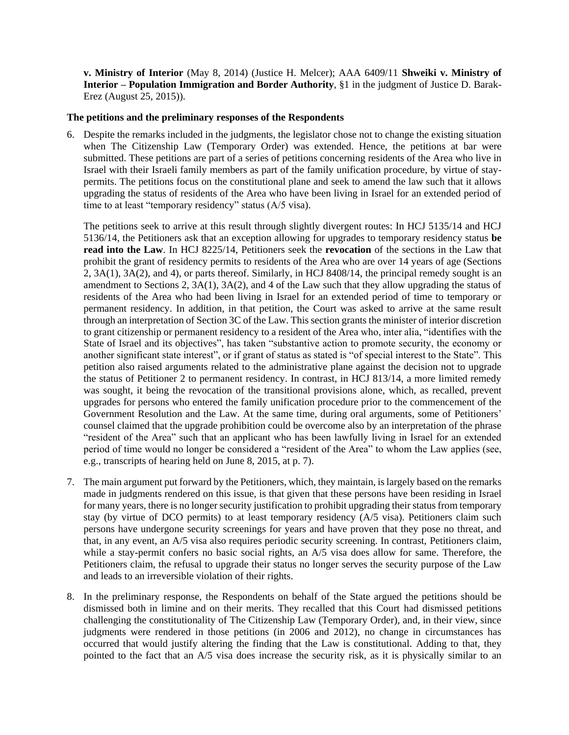**v. Ministry of Interior** (May 8, 2014) (Justice H. Melcer); AAA 6409/11 **Shweiki v. Ministry of Interior – Population Immigration and Border Authority**, §1 in the judgment of Justice D. Barak-Erez (August 25, 2015)).

#### **The petitions and the preliminary responses of the Respondents**

6. Despite the remarks included in the judgments, the legislator chose not to change the existing situation when The Citizenship Law (Temporary Order) was extended. Hence, the petitions at bar were submitted. These petitions are part of a series of petitions concerning residents of the Area who live in Israel with their Israeli family members as part of the family unification procedure, by virtue of staypermits. The petitions focus on the constitutional plane and seek to amend the law such that it allows upgrading the status of residents of the Area who have been living in Israel for an extended period of time to at least "temporary residency" status (A/5 visa).

The petitions seek to arrive at this result through slightly divergent routes: In HCJ 5135/14 and HCJ 5136/14, the Petitioners ask that an exception allowing for upgrades to temporary residency status **be read into the Law**. In HCJ 8225/14, Petitioners seek the **revocation** of the sections in the Law that prohibit the grant of residency permits to residents of the Area who are over 14 years of age (Sections 2, 3A(1), 3A(2), and 4), or parts thereof. Similarly, in HCJ 8408/14, the principal remedy sought is an amendment to Sections 2, 3A(1), 3A(2), and 4 of the Law such that they allow upgrading the status of residents of the Area who had been living in Israel for an extended period of time to temporary or permanent residency. In addition, in that petition, the Court was asked to arrive at the same result through an interpretation of Section 3C of the Law. This section grants the minister of interior discretion to grant citizenship or permanent residency to a resident of the Area who, inter alia, "identifies with the State of Israel and its objectives", has taken "substantive action to promote security, the economy or another significant state interest", or if grant of status as stated is "of special interest to the State". This petition also raised arguments related to the administrative plane against the decision not to upgrade the status of Petitioner 2 to permanent residency. In contrast, in HCJ 813/14, a more limited remedy was sought, it being the revocation of the transitional provisions alone, which, as recalled, prevent upgrades for persons who entered the family unification procedure prior to the commencement of the Government Resolution and the Law. At the same time, during oral arguments, some of Petitioners' counsel claimed that the upgrade prohibition could be overcome also by an interpretation of the phrase "resident of the Area" such that an applicant who has been lawfully living in Israel for an extended period of time would no longer be considered a "resident of the Area" to whom the Law applies (see, e.g., transcripts of hearing held on June 8, 2015, at p. 7).

- 7. The main argument put forward by the Petitioners, which, they maintain, is largely based on the remarks made in judgments rendered on this issue, is that given that these persons have been residing in Israel for many years, there is no longer security justification to prohibit upgrading their status from temporary stay (by virtue of DCO permits) to at least temporary residency (A/5 visa). Petitioners claim such persons have undergone security screenings for years and have proven that they pose no threat, and that, in any event, an A/5 visa also requires periodic security screening. In contrast, Petitioners claim, while a stay-permit confers no basic social rights, an A/5 visa does allow for same. Therefore, the Petitioners claim, the refusal to upgrade their status no longer serves the security purpose of the Law and leads to an irreversible violation of their rights.
- 8. In the preliminary response, the Respondents on behalf of the State argued the petitions should be dismissed both in limine and on their merits. They recalled that this Court had dismissed petitions challenging the constitutionality of The Citizenship Law (Temporary Order), and, in their view, since judgments were rendered in those petitions (in 2006 and 2012), no change in circumstances has occurred that would justify altering the finding that the Law is constitutional. Adding to that, they pointed to the fact that an A/5 visa does increase the security risk, as it is physically similar to an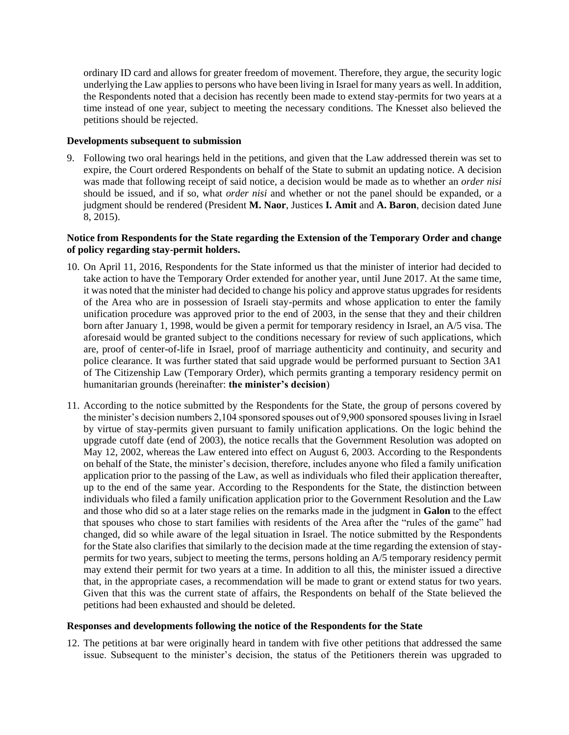ordinary ID card and allows for greater freedom of movement. Therefore, they argue, the security logic underlying the Law applies to persons who have been living in Israel for many years as well. In addition, the Respondents noted that a decision has recently been made to extend stay-permits for two years at a time instead of one year, subject to meeting the necessary conditions. The Knesset also believed the petitions should be rejected.

#### **Developments subsequent to submission**

9. Following two oral hearings held in the petitions, and given that the Law addressed therein was set to expire, the Court ordered Respondents on behalf of the State to submit an updating notice. A decision was made that following receipt of said notice, a decision would be made as to whether an *order nisi* should be issued, and if so, what *order nisi* and whether or not the panel should be expanded, or a judgment should be rendered (President **M. Naor**, Justices **I. Amit** and **A. Baron**, decision dated June 8, 2015).

## **Notice from Respondents for the State regarding the Extension of the Temporary Order and change of policy regarding stay-permit holders.**

- 10. On April 11, 2016, Respondents for the State informed us that the minister of interior had decided to take action to have the Temporary Order extended for another year, until June 2017. At the same time, it was noted that the minister had decided to change his policy and approve status upgrades for residents of the Area who are in possession of Israeli stay-permits and whose application to enter the family unification procedure was approved prior to the end of 2003, in the sense that they and their children born after January 1, 1998, would be given a permit for temporary residency in Israel, an A/5 visa. The aforesaid would be granted subject to the conditions necessary for review of such applications, which are, proof of center-of-life in Israel, proof of marriage authenticity and continuity, and security and police clearance. It was further stated that said upgrade would be performed pursuant to Section 3A1 of The Citizenship Law (Temporary Order), which permits granting a temporary residency permit on humanitarian grounds (hereinafter: **the minister's decision**)
- 11. According to the notice submitted by the Respondents for the State, the group of persons covered by the minister's decision numbers 2,104 sponsored spouses out of 9,900 sponsored spouses living in Israel by virtue of stay-permits given pursuant to family unification applications. On the logic behind the upgrade cutoff date (end of 2003), the notice recalls that the Government Resolution was adopted on May 12, 2002, whereas the Law entered into effect on August 6, 2003. According to the Respondents on behalf of the State, the minister's decision, therefore, includes anyone who filed a family unification application prior to the passing of the Law, as well as individuals who filed their application thereafter, up to the end of the same year. According to the Respondents for the State, the distinction between individuals who filed a family unification application prior to the Government Resolution and the Law and those who did so at a later stage relies on the remarks made in the judgment in **Galon** to the effect that spouses who chose to start families with residents of the Area after the "rules of the game" had changed, did so while aware of the legal situation in Israel. The notice submitted by the Respondents for the State also clarifies that similarly to the decision made at the time regarding the extension of staypermits for two years, subject to meeting the terms, persons holding an A/5 temporary residency permit may extend their permit for two years at a time. In addition to all this, the minister issued a directive that, in the appropriate cases, a recommendation will be made to grant or extend status for two years. Given that this was the current state of affairs, the Respondents on behalf of the State believed the petitions had been exhausted and should be deleted.

#### **Responses and developments following the notice of the Respondents for the State**

12. The petitions at bar were originally heard in tandem with five other petitions that addressed the same issue. Subsequent to the minister's decision, the status of the Petitioners therein was upgraded to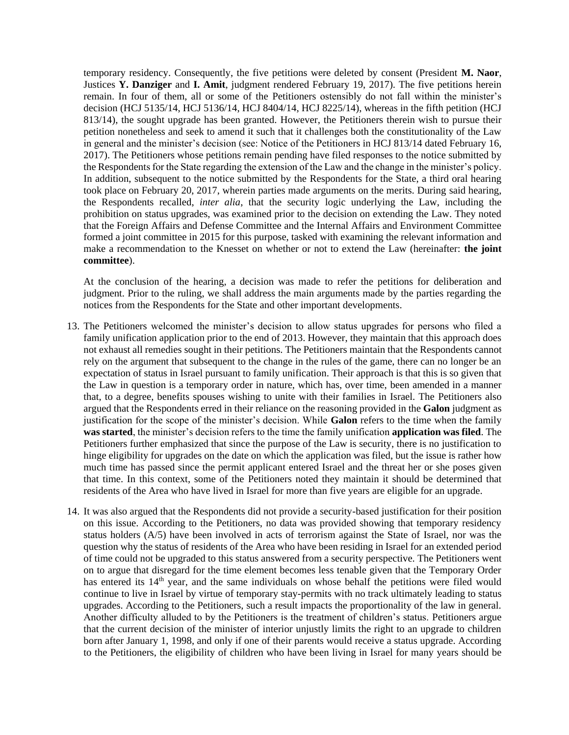temporary residency. Consequently, the five petitions were deleted by consent (President **M. Naor**, Justices **Y. Danziger** and **I. Amit**, judgment rendered February 19, 2017). The five petitions herein remain. In four of them, all or some of the Petitioners ostensibly do not fall within the minister's decision (HCJ 5135/14, HCJ 5136/14, HCJ 8404/14, HCJ 8225/14), whereas in the fifth petition (HCJ 813/14), the sought upgrade has been granted. However, the Petitioners therein wish to pursue their petition nonetheless and seek to amend it such that it challenges both the constitutionality of the Law in general and the minister's decision (see: Notice of the Petitioners in HCJ 813/14 dated February 16, 2017). The Petitioners whose petitions remain pending have filed responses to the notice submitted by the Respondents for the State regarding the extension of the Law and the change in the minister's policy. In addition, subsequent to the notice submitted by the Respondents for the State, a third oral hearing took place on February 20, 2017, wherein parties made arguments on the merits. During said hearing, the Respondents recalled, *inter alia*, that the security logic underlying the Law, including the prohibition on status upgrades, was examined prior to the decision on extending the Law. They noted that the Foreign Affairs and Defense Committee and the Internal Affairs and Environment Committee formed a joint committee in 2015 for this purpose, tasked with examining the relevant information and make a recommendation to the Knesset on whether or not to extend the Law (hereinafter: **the joint committee**).

At the conclusion of the hearing, a decision was made to refer the petitions for deliberation and judgment. Prior to the ruling, we shall address the main arguments made by the parties regarding the notices from the Respondents for the State and other important developments.

- 13. The Petitioners welcomed the minister's decision to allow status upgrades for persons who filed a family unification application prior to the end of 2013. However, they maintain that this approach does not exhaust all remedies sought in their petitions. The Petitioners maintain that the Respondents cannot rely on the argument that subsequent to the change in the rules of the game, there can no longer be an expectation of status in Israel pursuant to family unification. Their approach is that this is so given that the Law in question is a temporary order in nature, which has, over time, been amended in a manner that, to a degree, benefits spouses wishing to unite with their families in Israel. The Petitioners also argued that the Respondents erred in their reliance on the reasoning provided in the **Galon** judgment as justification for the scope of the minister's decision. While **Galon** refers to the time when the family **was started**, the minister's decision refers to the time the family unification **application was filed**. The Petitioners further emphasized that since the purpose of the Law is security, there is no justification to hinge eligibility for upgrades on the date on which the application was filed, but the issue is rather how much time has passed since the permit applicant entered Israel and the threat her or she poses given that time. In this context, some of the Petitioners noted they maintain it should be determined that residents of the Area who have lived in Israel for more than five years are eligible for an upgrade.
- 14. It was also argued that the Respondents did not provide a security-based justification for their position on this issue. According to the Petitioners, no data was provided showing that temporary residency status holders (A/5) have been involved in acts of terrorism against the State of Israel, nor was the question why the status of residents of the Area who have been residing in Israel for an extended period of time could not be upgraded to this status answered from a security perspective. The Petitioners went on to argue that disregard for the time element becomes less tenable given that the Temporary Order has entered its 14<sup>th</sup> year, and the same individuals on whose behalf the petitions were filed would continue to live in Israel by virtue of temporary stay-permits with no track ultimately leading to status upgrades. According to the Petitioners, such a result impacts the proportionality of the law in general. Another difficulty alluded to by the Petitioners is the treatment of children's status. Petitioners argue that the current decision of the minister of interior unjustly limits the right to an upgrade to children born after January 1, 1998, and only if one of their parents would receive a status upgrade. According to the Petitioners, the eligibility of children who have been living in Israel for many years should be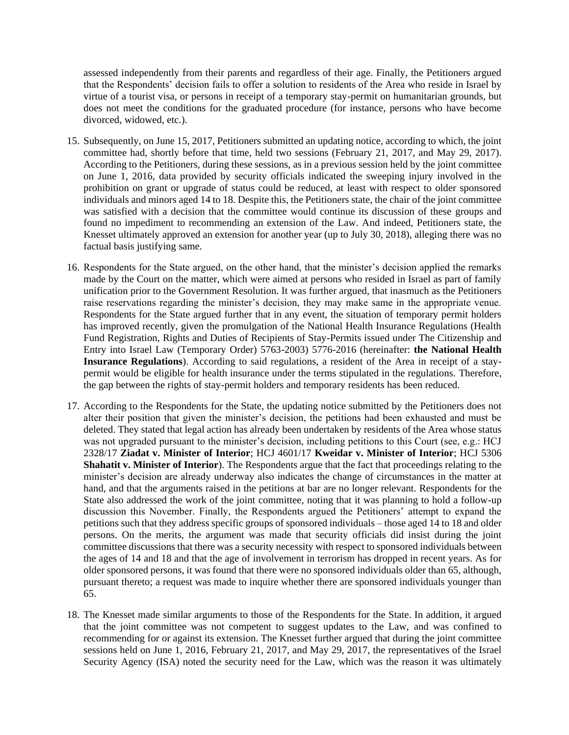assessed independently from their parents and regardless of their age. Finally, the Petitioners argued that the Respondents' decision fails to offer a solution to residents of the Area who reside in Israel by virtue of a tourist visa, or persons in receipt of a temporary stay-permit on humanitarian grounds, but does not meet the conditions for the graduated procedure (for instance, persons who have become divorced, widowed, etc.).

- 15. Subsequently, on June 15, 2017, Petitioners submitted an updating notice, according to which, the joint committee had, shortly before that time, held two sessions (February 21, 2017, and May 29, 2017). According to the Petitioners, during these sessions, as in a previous session held by the joint committee on June 1, 2016, data provided by security officials indicated the sweeping injury involved in the prohibition on grant or upgrade of status could be reduced, at least with respect to older sponsored individuals and minors aged 14 to 18. Despite this, the Petitioners state, the chair of the joint committee was satisfied with a decision that the committee would continue its discussion of these groups and found no impediment to recommending an extension of the Law. And indeed, Petitioners state, the Knesset ultimately approved an extension for another year (up to July 30, 2018), alleging there was no factual basis justifying same.
- 16. Respondents for the State argued, on the other hand, that the minister's decision applied the remarks made by the Court on the matter, which were aimed at persons who resided in Israel as part of family unification prior to the Government Resolution. It was further argued, that inasmuch as the Petitioners raise reservations regarding the minister's decision, they may make same in the appropriate venue. Respondents for the State argued further that in any event, the situation of temporary permit holders has improved recently, given the promulgation of the National Health Insurance Regulations (Health Fund Registration, Rights and Duties of Recipients of Stay-Permits issued under The Citizenship and Entry into Israel Law (Temporary Order) 5763-2003) 5776-2016 (hereinafter: **the National Health Insurance Regulations**). According to said regulations, a resident of the Area in receipt of a staypermit would be eligible for health insurance under the terms stipulated in the regulations. Therefore, the gap between the rights of stay-permit holders and temporary residents has been reduced.
- 17. According to the Respondents for the State, the updating notice submitted by the Petitioners does not alter their position that given the minister's decision, the petitions had been exhausted and must be deleted. They stated that legal action has already been undertaken by residents of the Area whose status was not upgraded pursuant to the minister's decision, including petitions to this Court (see, e.g.: HCJ 2328/17 **Ziadat v. Minister of Interior**; HCJ 4601/17 **Kweidar v. Minister of Interior**; HCJ 5306 **Shahatit v. Minister of Interior**). The Respondents argue that the fact that proceedings relating to the minister's decision are already underway also indicates the change of circumstances in the matter at hand, and that the arguments raised in the petitions at bar are no longer relevant. Respondents for the State also addressed the work of the joint committee, noting that it was planning to hold a follow-up discussion this November. Finally, the Respondents argued the Petitioners' attempt to expand the petitions such that they address specific groups of sponsored individuals – those aged 14 to 18 and older persons. On the merits, the argument was made that security officials did insist during the joint committee discussions that there was a security necessity with respect to sponsored individuals between the ages of 14 and 18 and that the age of involvement in terrorism has dropped in recent years. As for older sponsored persons, it was found that there were no sponsored individuals older than 65, although, pursuant thereto; a request was made to inquire whether there are sponsored individuals younger than 65.
- 18. The Knesset made similar arguments to those of the Respondents for the State. In addition, it argued that the joint committee was not competent to suggest updates to the Law, and was confined to recommending for or against its extension. The Knesset further argued that during the joint committee sessions held on June 1, 2016, February 21, 2017, and May 29, 2017, the representatives of the Israel Security Agency (ISA) noted the security need for the Law, which was the reason it was ultimately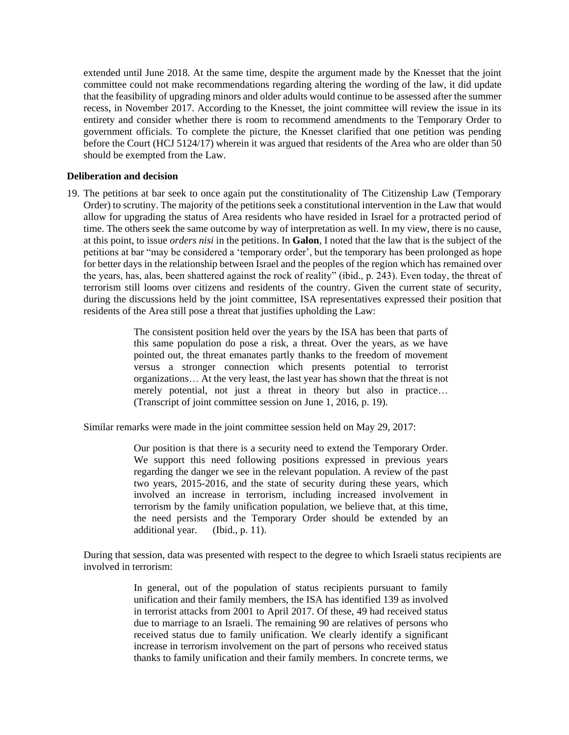extended until June 2018. At the same time, despite the argument made by the Knesset that the joint committee could not make recommendations regarding altering the wording of the law, it did update that the feasibility of upgrading minors and older adults would continue to be assessed after the summer recess, in November 2017. According to the Knesset, the joint committee will review the issue in its entirety and consider whether there is room to recommend amendments to the Temporary Order to government officials. To complete the picture, the Knesset clarified that one petition was pending before the Court (HCJ 5124/17) wherein it was argued that residents of the Area who are older than 50 should be exempted from the Law.

#### **Deliberation and decision**

19. The petitions at bar seek to once again put the constitutionality of The Citizenship Law (Temporary Order) to scrutiny. The majority of the petitions seek a constitutional intervention in the Law that would allow for upgrading the status of Area residents who have resided in Israel for a protracted period of time. The others seek the same outcome by way of interpretation as well. In my view, there is no cause, at this point, to issue *orders nisi* in the petitions. In **Galon**, I noted that the law that is the subject of the petitions at bar "may be considered a 'temporary order', but the temporary has been prolonged as hope for better days in the relationship between Israel and the peoples of the region which has remained over the years, has, alas, been shattered against the rock of reality" (ibid., p. 243). Even today, the threat of terrorism still looms over citizens and residents of the country. Given the current state of security, during the discussions held by the joint committee, ISA representatives expressed their position that residents of the Area still pose a threat that justifies upholding the Law:

> The consistent position held over the years by the ISA has been that parts of this same population do pose a risk, a threat. Over the years, as we have pointed out, the threat emanates partly thanks to the freedom of movement versus a stronger connection which presents potential to terrorist organizations… At the very least, the last year has shown that the threat is not merely potential, not just a threat in theory but also in practice… (Transcript of joint committee session on June 1, 2016, p. 19).

Similar remarks were made in the joint committee session held on May 29, 2017:

Our position is that there is a security need to extend the Temporary Order. We support this need following positions expressed in previous years regarding the danger we see in the relevant population. A review of the past two years, 2015-2016, and the state of security during these years, which involved an increase in terrorism, including increased involvement in terrorism by the family unification population, we believe that, at this time, the need persists and the Temporary Order should be extended by an additional year. (Ibid., p. 11).

During that session, data was presented with respect to the degree to which Israeli status recipients are involved in terrorism:

> In general, out of the population of status recipients pursuant to family unification and their family members, the ISA has identified 139 as involved in terrorist attacks from 2001 to April 2017. Of these, 49 had received status due to marriage to an Israeli. The remaining 90 are relatives of persons who received status due to family unification. We clearly identify a significant increase in terrorism involvement on the part of persons who received status thanks to family unification and their family members. In concrete terms, we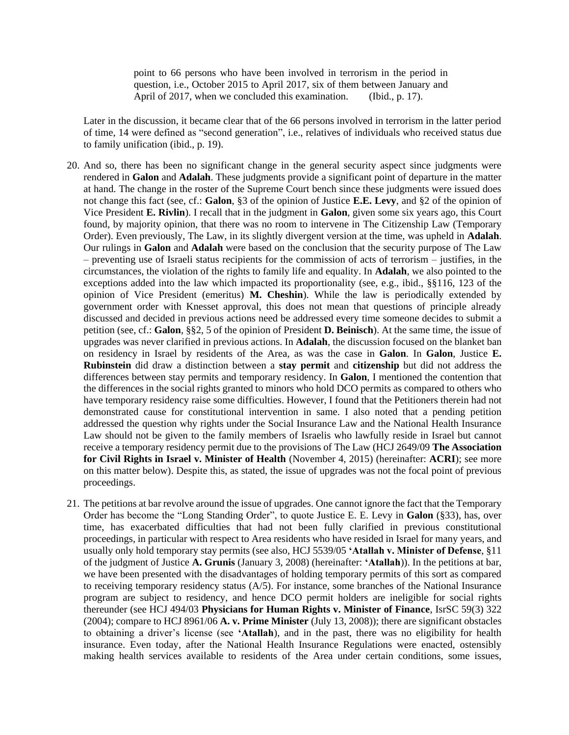point to 66 persons who have been involved in terrorism in the period in question, i.e., October 2015 to April 2017, six of them between January and April of 2017, when we concluded this examination. (Ibid., p. 17).

Later in the discussion, it became clear that of the 66 persons involved in terrorism in the latter period of time, 14 were defined as "second generation", i.e., relatives of individuals who received status due to family unification (ibid., p. 19).

- 20. And so, there has been no significant change in the general security aspect since judgments were rendered in **Galon** and **Adalah**. These judgments provide a significant point of departure in the matter at hand. The change in the roster of the Supreme Court bench since these judgments were issued does not change this fact (see, cf.: **Galon**, §3 of the opinion of Justice **E.E. Levy**, and §2 of the opinion of Vice President **E. Rivlin**). I recall that in the judgment in **Galon**, given some six years ago, this Court found, by majority opinion, that there was no room to intervene in The Citizenship Law (Temporary Order). Even previously, The Law, in its slightly divergent version at the time, was upheld in **Adalah**. Our rulings in **Galon** and **Adalah** were based on the conclusion that the security purpose of The Law – preventing use of Israeli status recipients for the commission of acts of terrorism – justifies, in the circumstances, the violation of the rights to family life and equality. In **Adalah**, we also pointed to the exceptions added into the law which impacted its proportionality (see, e.g., ibid., §§116, 123 of the opinion of Vice President (emeritus) **M. Cheshin**). While the law is periodically extended by government order with Knesset approval, this does not mean that questions of principle already discussed and decided in previous actions need be addressed every time someone decides to submit a petition (see, cf.: **Galon**, §§2, 5 of the opinion of President **D. Beinisch**). At the same time, the issue of upgrades was never clarified in previous actions. In **Adalah**, the discussion focused on the blanket ban on residency in Israel by residents of the Area, as was the case in **Galon**. In **Galon**, Justice **E. Rubinstein** did draw a distinction between a **stay permit** and **citizenship** but did not address the differences between stay permits and temporary residency. In **Galon**, I mentioned the contention that the differences in the social rights granted to minors who hold DCO permits as compared to others who have temporary residency raise some difficulties. However, I found that the Petitioners therein had not demonstrated cause for constitutional intervention in same. I also noted that a pending petition addressed the question why rights under the Social Insurance Law and the National Health Insurance Law should not be given to the family members of Israelis who lawfully reside in Israel but cannot receive a temporary residency permit due to the provisions of The Law (HCJ 2649/09 **The Association for Civil Rights in Israel v. Minister of Health** (November 4, 2015) (hereinafter: **ACRI**); see more on this matter below). Despite this, as stated, the issue of upgrades was not the focal point of previous proceedings.
- 21. The petitions at bar revolve around the issue of upgrades. One cannot ignore the fact that the Temporary Order has become the "Long Standing Order", to quote Justice E. E. Levy in **Galon** (§33), has, over time, has exacerbated difficulties that had not been fully clarified in previous constitutional proceedings, in particular with respect to Area residents who have resided in Israel for many years, and usually only hold temporary stay permits (see also, HCJ 5539/05 **'Atallah v. Minister of Defense**, §11 of the judgment of Justice **A. Grunis** (January 3, 2008) (hereinafter: **'Atallah**)). In the petitions at bar, we have been presented with the disadvantages of holding temporary permits of this sort as compared to receiving temporary residency status (A/5). For instance, some branches of the National Insurance program are subject to residency, and hence DCO permit holders are ineligible for social rights thereunder (see HCJ 494/03 **Physicians for Human Rights v. Minister of Finance**, IsrSC 59(3) 322 (2004); compare to HCJ 8961/06 **A. v. Prime Minister** (July 13, 2008)); there are significant obstacles to obtaining a driver's license (see **'Atallah**), and in the past, there was no eligibility for health insurance. Even today, after the National Health Insurance Regulations were enacted, ostensibly making health services available to residents of the Area under certain conditions, some issues,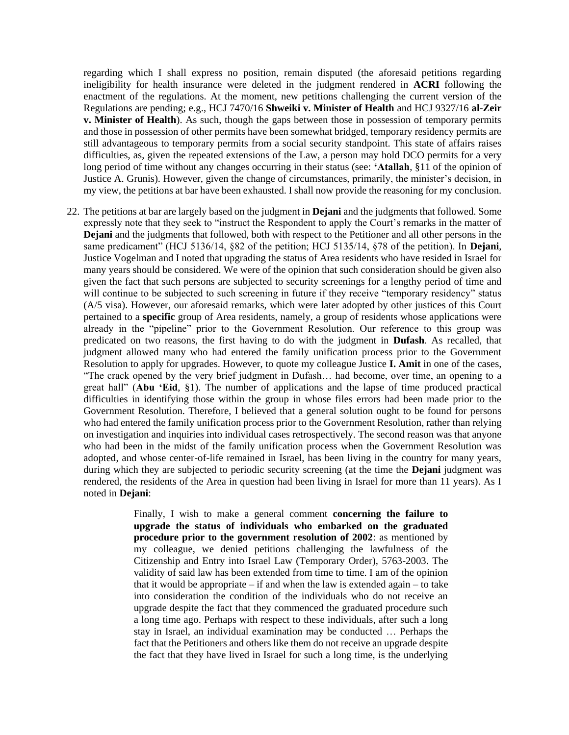regarding which I shall express no position, remain disputed (the aforesaid petitions regarding ineligibility for health insurance were deleted in the judgment rendered in **ACRI** following the enactment of the regulations. At the moment, new petitions challenging the current version of the Regulations are pending; e.g., HCJ 7470/16 **Shweiki v. Minister of Health** and HCJ 9327/16 **al-Zeir v. Minister of Health**). As such, though the gaps between those in possession of temporary permits and those in possession of other permits have been somewhat bridged, temporary residency permits are still advantageous to temporary permits from a social security standpoint. This state of affairs raises difficulties, as, given the repeated extensions of the Law, a person may hold DCO permits for a very long period of time without any changes occurring in their status (see: **'Atallah**, §11 of the opinion of Justice A. Grunis). However, given the change of circumstances, primarily, the minister's decision, in my view, the petitions at bar have been exhausted. I shall now provide the reasoning for my conclusion.

22. The petitions at bar are largely based on the judgment in **Dejani** and the judgments that followed. Some expressly note that they seek to "instruct the Respondent to apply the Court's remarks in the matter of **Dejani** and the judgments that followed, both with respect to the Petitioner and all other persons in the same predicament" (HCJ 5136/14, §82 of the petition; HCJ 5135/14, §78 of the petition). In **Dejani**, Justice Vogelman and I noted that upgrading the status of Area residents who have resided in Israel for many years should be considered. We were of the opinion that such consideration should be given also given the fact that such persons are subjected to security screenings for a lengthy period of time and will continue to be subjected to such screening in future if they receive "temporary residency" status (A/5 visa). However, our aforesaid remarks, which were later adopted by other justices of this Court pertained to a **specific** group of Area residents, namely, a group of residents whose applications were already in the "pipeline" prior to the Government Resolution. Our reference to this group was predicated on two reasons, the first having to do with the judgment in **Dufash**. As recalled, that judgment allowed many who had entered the family unification process prior to the Government Resolution to apply for upgrades. However, to quote my colleague Justice **I. Amit** in one of the cases, "The crack opened by the very brief judgment in Dufash… had become, over time, an opening to a great hall" (**Abu 'Eid**, §1). The number of applications and the lapse of time produced practical difficulties in identifying those within the group in whose files errors had been made prior to the Government Resolution. Therefore, I believed that a general solution ought to be found for persons who had entered the family unification process prior to the Government Resolution, rather than relying on investigation and inquiries into individual cases retrospectively. The second reason was that anyone who had been in the midst of the family unification process when the Government Resolution was adopted, and whose center-of-life remained in Israel, has been living in the country for many years, during which they are subjected to periodic security screening (at the time the **Dejani** judgment was rendered, the residents of the Area in question had been living in Israel for more than 11 years). As I noted in **Dejani**:

> Finally, I wish to make a general comment **concerning the failure to upgrade the status of individuals who embarked on the graduated procedure prior to the government resolution of 2002**: as mentioned by my colleague, we denied petitions challenging the lawfulness of the Citizenship and Entry into Israel Law (Temporary Order), 5763-2003. The validity of said law has been extended from time to time. I am of the opinion that it would be appropriate  $-$  if and when the law is extended again  $-$  to take into consideration the condition of the individuals who do not receive an upgrade despite the fact that they commenced the graduated procedure such a long time ago. Perhaps with respect to these individuals, after such a long stay in Israel, an individual examination may be conducted … Perhaps the fact that the Petitioners and others like them do not receive an upgrade despite the fact that they have lived in Israel for such a long time, is the underlying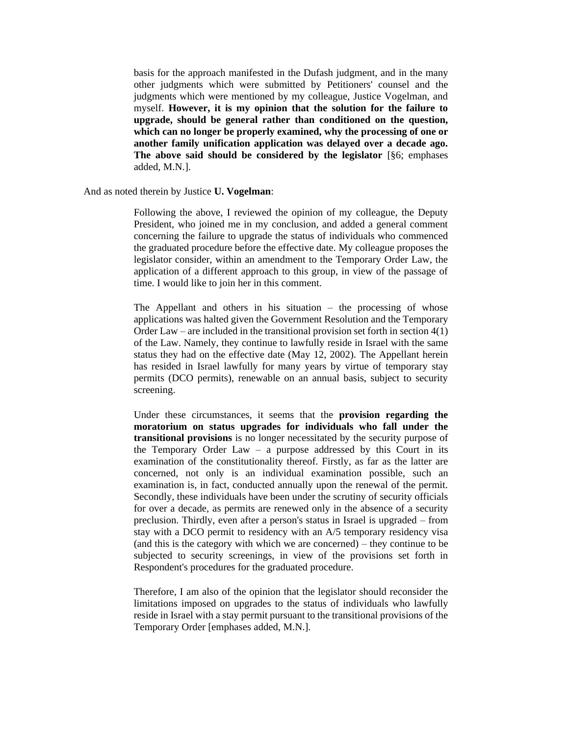basis for the approach manifested in the Dufash judgment, and in the many other judgments which were submitted by Petitioners' counsel and the judgments which were mentioned by my colleague, Justice Vogelman, and myself. **However, it is my opinion that the solution for the failure to upgrade, should be general rather than conditioned on the question, which can no longer be properly examined, why the processing of one or another family unification application was delayed over a decade ago. The above said should be considered by the legislator** [§6; emphases added, M.N.].

And as noted therein by Justice **U. Vogelman**:

Following the above, I reviewed the opinion of my colleague, the Deputy President, who joined me in my conclusion, and added a general comment concerning the failure to upgrade the status of individuals who commenced the graduated procedure before the effective date. My colleague proposes the legislator consider, within an amendment to the Temporary Order Law, the application of a different approach to this group, in view of the passage of time. I would like to join her in this comment.

The Appellant and others in his situation – the processing of whose applications was halted given the Government Resolution and the Temporary Order Law – are included in the transitional provision set forth in section  $4(1)$ of the Law. Namely, they continue to lawfully reside in Israel with the same status they had on the effective date (May 12, 2002). The Appellant herein has resided in Israel lawfully for many years by virtue of temporary stay permits (DCO permits), renewable on an annual basis, subject to security screening.

Under these circumstances, it seems that the **provision regarding the moratorium on status upgrades for individuals who fall under the transitional provisions** is no longer necessitated by the security purpose of the Temporary Order Law  $-$  a purpose addressed by this Court in its examination of the constitutionality thereof. Firstly, as far as the latter are concerned, not only is an individual examination possible, such an examination is, in fact, conducted annually upon the renewal of the permit. Secondly, these individuals have been under the scrutiny of security officials for over a decade, as permits are renewed only in the absence of a security preclusion. Thirdly, even after a person's status in Israel is upgraded – from stay with a DCO permit to residency with an A/5 temporary residency visa (and this is the category with which we are concerned) – they continue to be subjected to security screenings, in view of the provisions set forth in Respondent's procedures for the graduated procedure.

Therefore, I am also of the opinion that the legislator should reconsider the limitations imposed on upgrades to the status of individuals who lawfully reside in Israel with a stay permit pursuant to the transitional provisions of the Temporary Order [emphases added, M.N.].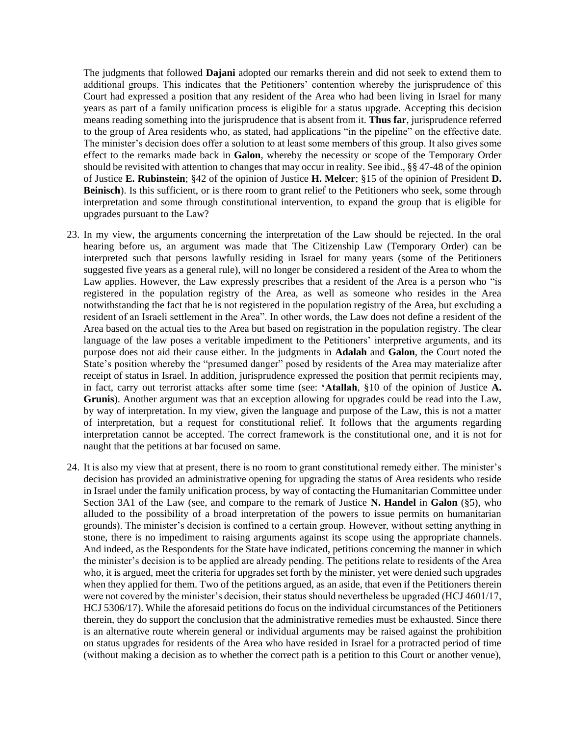The judgments that followed **Dajani** adopted our remarks therein and did not seek to extend them to additional groups. This indicates that the Petitioners' contention whereby the jurisprudence of this Court had expressed a position that any resident of the Area who had been living in Israel for many years as part of a family unification process is eligible for a status upgrade. Accepting this decision means reading something into the jurisprudence that is absent from it. **Thus far**, jurisprudence referred to the group of Area residents who, as stated, had applications "in the pipeline" on the effective date. The minister's decision does offer a solution to at least some members of this group. It also gives some effect to the remarks made back in **Galon**, whereby the necessity or scope of the Temporary Order should be revisited with attention to changes that may occur in reality. See ibid., §§ 47-48 of the opinion of Justice **E. Rubinstein**; §42 of the opinion of Justice **H. Melcer**; §15 of the opinion of President **D. Beinisch**). Is this sufficient, or is there room to grant relief to the Petitioners who seek, some through interpretation and some through constitutional intervention, to expand the group that is eligible for upgrades pursuant to the Law?

- 23. In my view, the arguments concerning the interpretation of the Law should be rejected. In the oral hearing before us, an argument was made that The Citizenship Law (Temporary Order) can be interpreted such that persons lawfully residing in Israel for many years (some of the Petitioners suggested five years as a general rule), will no longer be considered a resident of the Area to whom the Law applies. However, the Law expressly prescribes that a resident of the Area is a person who "is registered in the population registry of the Area, as well as someone who resides in the Area notwithstanding the fact that he is not registered in the population registry of the Area, but excluding a resident of an Israeli settlement in the Area". In other words, the Law does not define a resident of the Area based on the actual ties to the Area but based on registration in the population registry. The clear language of the law poses a veritable impediment to the Petitioners' interpretive arguments, and its purpose does not aid their cause either. In the judgments in **Adalah** and **Galon**, the Court noted the State's position whereby the "presumed danger" posed by residents of the Area may materialize after receipt of status in Israel. In addition, jurisprudence expressed the position that permit recipients may, in fact, carry out terrorist attacks after some time (see: **'Atallah**, §10 of the opinion of Justice **A. Grunis**). Another argument was that an exception allowing for upgrades could be read into the Law, by way of interpretation. In my view, given the language and purpose of the Law, this is not a matter of interpretation, but a request for constitutional relief. It follows that the arguments regarding interpretation cannot be accepted. The correct framework is the constitutional one, and it is not for naught that the petitions at bar focused on same.
- 24. It is also my view that at present, there is no room to grant constitutional remedy either. The minister's decision has provided an administrative opening for upgrading the status of Area residents who reside in Israel under the family unification process, by way of contacting the Humanitarian Committee under Section 3A1 of the Law (see, and compare to the remark of Justice **N. Handel** in **Galon** (§5), who alluded to the possibility of a broad interpretation of the powers to issue permits on humanitarian grounds). The minister's decision is confined to a certain group. However, without setting anything in stone, there is no impediment to raising arguments against its scope using the appropriate channels. And indeed, as the Respondents for the State have indicated, petitions concerning the manner in which the minister's decision is to be applied are already pending. The petitions relate to residents of the Area who, it is argued, meet the criteria for upgrades set forth by the minister, yet were denied such upgrades when they applied for them. Two of the petitions argued, as an aside, that even if the Petitioners therein were not covered by the minister's decision, their status should nevertheless be upgraded (HCJ 4601/17, HCJ 5306/17). While the aforesaid petitions do focus on the individual circumstances of the Petitioners therein, they do support the conclusion that the administrative remedies must be exhausted. Since there is an alternative route wherein general or individual arguments may be raised against the prohibition on status upgrades for residents of the Area who have resided in Israel for a protracted period of time (without making a decision as to whether the correct path is a petition to this Court or another venue),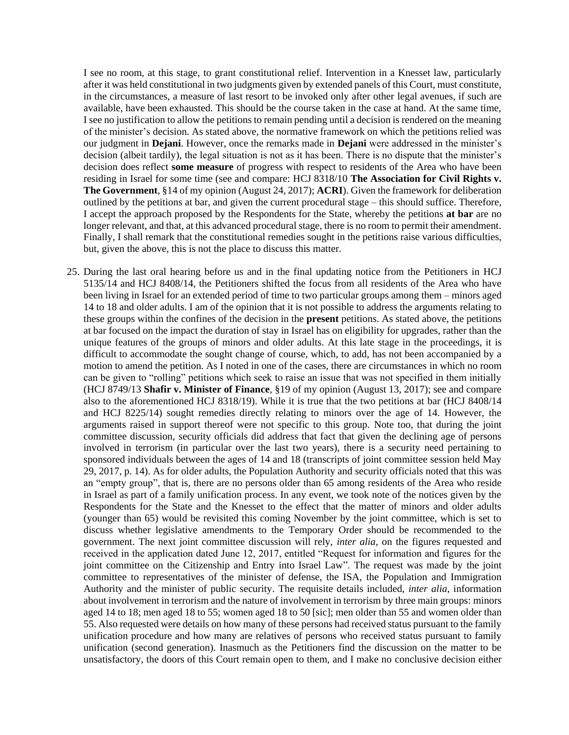I see no room, at this stage, to grant constitutional relief. Intervention in a Knesset law, particularly after it was held constitutional in two judgments given by extended panels of this Court, must constitute, in the circumstances, a measure of last resort to be invoked only after other legal avenues, if such are available, have been exhausted. This should be the course taken in the case at hand. At the same time, I see no justification to allow the petitions to remain pending until a decision is rendered on the meaning of the minister's decision. As stated above, the normative framework on which the petitions relied was our judgment in **Dejani**. However, once the remarks made in **Dejani** were addressed in the minister's decision (albeit tardily), the legal situation is not as it has been. There is no dispute that the minister's decision does reflect **some measure** of progress with respect to residents of the Area who have been residing in Israel for some time (see and compare: HCJ 8318/10 **The Association for Civil Rights v. The Government**, §14 of my opinion (August 24, 2017); **ACRI**). Given the framework for deliberation outlined by the petitions at bar, and given the current procedural stage – this should suffice. Therefore, I accept the approach proposed by the Respondents for the State, whereby the petitions **at bar** are no longer relevant, and that, at this advanced procedural stage, there is no room to permit their amendment. Finally, I shall remark that the constitutional remedies sought in the petitions raise various difficulties, but, given the above, this is not the place to discuss this matter.

25. During the last oral hearing before us and in the final updating notice from the Petitioners in HCJ 5135/14 and HCJ 8408/14, the Petitioners shifted the focus from all residents of the Area who have been living in Israel for an extended period of time to two particular groups among them – minors aged 14 to 18 and older adults. I am of the opinion that it is not possible to address the arguments relating to these groups within the confines of the decision in the **present** petitions. As stated above, the petitions at bar focused on the impact the duration of stay in Israel has on eligibility for upgrades, rather than the unique features of the groups of minors and older adults. At this late stage in the proceedings, it is difficult to accommodate the sought change of course, which, to add, has not been accompanied by a motion to amend the petition. As I noted in one of the cases, there are circumstances in which no room can be given to "rolling" petitions which seek to raise an issue that was not specified in them initially (HCJ 8749/13 **Shafir v. Minister of Finance**, §19 of my opinion (August 13, 2017); see and compare also to the aforementioned HCJ 8318/19). While it is true that the two petitions at bar (HCJ 8408/14 and HCJ 8225/14) sought remedies directly relating to minors over the age of 14. However, the arguments raised in support thereof were not specific to this group. Note too, that during the joint committee discussion, security officials did address that fact that given the declining age of persons involved in terrorism (in particular over the last two years), there is a security need pertaining to sponsored individuals between the ages of 14 and 18 (transcripts of joint committee session held May 29, 2017, p. 14). As for older adults, the Population Authority and security officials noted that this was an "empty group", that is, there are no persons older than 65 among residents of the Area who reside in Israel as part of a family unification process. In any event, we took note of the notices given by the Respondents for the State and the Knesset to the effect that the matter of minors and older adults (younger than 65) would be revisited this coming November by the joint committee, which is set to discuss whether legislative amendments to the Temporary Order should be recommended to the government. The next joint committee discussion will rely, *inter alia*, on the figures requested and received in the application dated June 12, 2017, entitled "Request for information and figures for the joint committee on the Citizenship and Entry into Israel Law". The request was made by the joint committee to representatives of the minister of defense, the ISA, the Population and Immigration Authority and the minister of public security. The requisite details included, *inter alia*, information about involvement in terrorism and the nature of involvement in terrorism by three main groups: minors aged 14 to 18; men aged 18 to 55; women aged 18 to 50 [sic]; men older than 55 and women older than 55. Also requested were details on how many of these persons had received status pursuant to the family unification procedure and how many are relatives of persons who received status pursuant to family unification (second generation). Inasmuch as the Petitioners find the discussion on the matter to be unsatisfactory, the doors of this Court remain open to them, and I make no conclusive decision either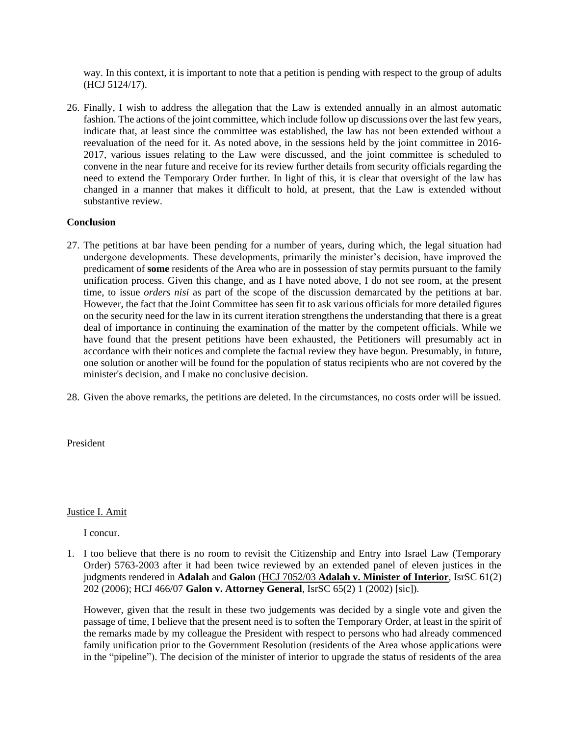way. In this context, it is important to note that a petition is pending with respect to the group of adults (HCJ 5124/17).

26. Finally, I wish to address the allegation that the Law is extended annually in an almost automatic fashion. The actions of the joint committee, which include follow up discussions over the last few years, indicate that, at least since the committee was established, the law has not been extended without a reevaluation of the need for it. As noted above, in the sessions held by the joint committee in 2016- 2017, various issues relating to the Law were discussed, and the joint committee is scheduled to convene in the near future and receive for its review further details from security officials regarding the need to extend the Temporary Order further. In light of this, it is clear that oversight of the law has changed in a manner that makes it difficult to hold, at present, that the Law is extended without substantive review.

## **Conclusion**

- 27. The petitions at bar have been pending for a number of years, during which, the legal situation had undergone developments. These developments, primarily the minister's decision, have improved the predicament of **some** residents of the Area who are in possession of stay permits pursuant to the family unification process. Given this change, and as I have noted above, I do not see room, at the present time, to issue *orders nisi* as part of the scope of the discussion demarcated by the petitions at bar. However, the fact that the Joint Committee has seen fit to ask various officials for more detailed figures on the security need for the law in its current iteration strengthens the understanding that there is a great deal of importance in continuing the examination of the matter by the competent officials. While we have found that the present petitions have been exhausted, the Petitioners will presumably act in accordance with their notices and complete the factual review they have begun. Presumably, in future, one solution or another will be found for the population of status recipients who are not covered by the minister's decision, and I make no conclusive decision.
- 28. Given the above remarks, the petitions are deleted. In the circumstances, no costs order will be issued.

President

Justice I. Amit

I concur.

1. I too believe that there is no room to revisit the Citizenship and Entry into Israel Law (Temporary Order) 5763-2003 after it had been twice reviewed by an extended panel of eleven justices in the judgments rendered in **Adalah** and **Galon** (HCJ 7052/03 **[Adalah v. Minister of Interior](http://www.hamoked.org/files/2011/4489_eng.pdf)**, IsrSC 61(2) 202 (2006); HCJ 466/07 **Galon v. Attorney General**, IsrSC 65(2) 1 (2002) [sic]).

However, given that the result in these two judgements was decided by a single vote and given the passage of time, I believe that the present need is to soften the Temporary Order, at least in the spirit of the remarks made by my colleague the President with respect to persons who had already commenced family unification prior to the Government Resolution (residents of the Area whose applications were in the "pipeline"). The decision of the minister of interior to upgrade the status of residents of the area